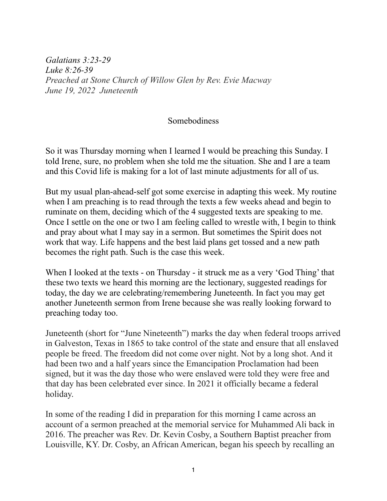*Galatians 3:23-29 Luke 8:26-39 Preached at Stone Church of Willow Glen by Rev. Evie Macway June 19, 2022 Juneteenth*

## Somebodiness

So it was Thursday morning when I learned I would be preaching this Sunday. I told Irene, sure, no problem when she told me the situation. She and I are a team and this Covid life is making for a lot of last minute adjustments for all of us.

But my usual plan-ahead-self got some exercise in adapting this week. My routine when I am preaching is to read through the texts a few weeks ahead and begin to ruminate on them, deciding which of the 4 suggested texts are speaking to me. Once I settle on the one or two I am feeling called to wrestle with, I begin to think and pray about what I may say in a sermon. But sometimes the Spirit does not work that way. Life happens and the best laid plans get tossed and a new path becomes the right path. Such is the case this week.

When I looked at the texts - on Thursday - it struck me as a very 'God Thing' that these two texts we heard this morning are the lectionary, suggested readings for today, the day we are celebrating/remembering Juneteenth. In fact you may get another Juneteenth sermon from Irene because she was really looking forward to preaching today too.

Juneteenth (short for "June Nineteenth") marks the day when federal troops arrived in Galveston, Texas in 1865 to take control of the state and ensure that all enslaved people be freed. The freedom did not come over night. Not by a long shot. And it had been two and a half years since the Emancipation Proclamation had been signed, but it was the day those who were enslaved were told they were free and that day has been celebrated ever since. In 2021 it officially became a federal holiday.

In some of the reading I did in preparation for this morning I came across an account of a sermon preached at the memorial service for Muhammed Ali back in 2016. The preacher was Rev. Dr. Kevin Cosby, a Southern Baptist preacher from Louisville, KY. Dr. Cosby, an African American, began his speech by recalling an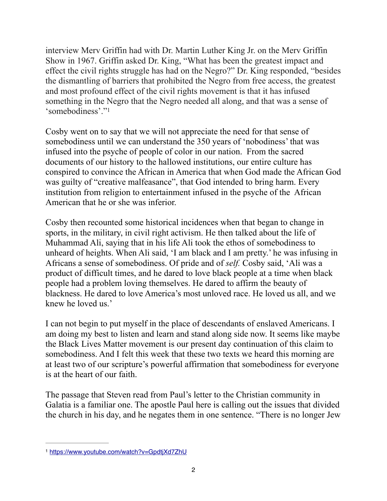interview Merv Griffin had with Dr. Martin Luther King Jr. on the Merv Griffin Show in 1967. Griffin asked Dr. King, "What has been the greatest impact and effect the civil rights struggle has had on the Negro?" Dr. King responded, "besides the dismantling of barriers that prohibited the Negro from free access, the greatest and most profound effect of the civil rights movement is that it has infused something in the Negro that the Negro needed all along, and that was a sense of 'somebodiness'."[1](#page-1-0)

<span id="page-1-1"></span>Cosby went on to say that we will not appreciate the need for that sense of somebodiness until we can understand the 350 years of 'nobodiness' that was infused into the psyche of people of color in our nation. From the sacred documents of our history to the hallowed institutions, our entire culture has conspired to convince the African in America that when God made the African God was guilty of "creative malfeasance", that God intended to bring harm. Every institution from religion to entertainment infused in the psyche of the African American that he or she was inferior.

Cosby then recounted some historical incidences when that began to change in sports, in the military, in civil right activism. He then talked about the life of Muhammad Ali, saying that in his life Ali took the ethos of somebodiness to unheard of heights. When Ali said, 'I am black and I am pretty.' he was infusing in Africans a sense of somebodiness. Of pride and of *self.* Cosby said, 'Ali was a product of difficult times, and he dared to love black people at a time when black people had a problem loving themselves. He dared to affirm the beauty of blackness. He dared to love America's most unloved race. He loved us all, and we knew he loved us.'

I can not begin to put myself in the place of descendants of enslaved Americans. I am doing my best to listen and learn and stand along side now. It seems like maybe the Black Lives Matter movement is our present day continuation of this claim to somebodiness. And I felt this week that these two texts we heard this morning are at least two of our scripture's powerful affirmation that somebodiness for everyone is at the heart of our faith.

The passage that Steven read from Paul's letter to the Christian community in Galatia is a familiar one. The apostle Paul here is calling out the issues that divided the church in his day, and he negates them in one sentence. "There is no longer Jew

<span id="page-1-0"></span>[<sup>1</sup>](#page-1-1) <https://www.youtube.com/watch?v=GpdtjXd7ZhU>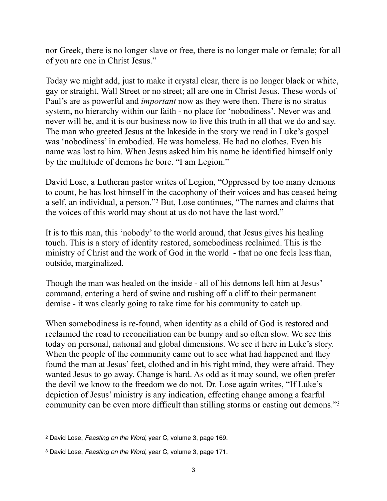nor Greek, there is no longer slave or free, there is no longer male or female; for all of you are one in Christ Jesus."

Today we might add, just to make it crystal clear, there is no longer black or white, gay or straight, Wall Street or no street; all are one in Christ Jesus. These words of Paul's are as powerful and *important* now as they were then. There is no stratus system, no hierarchy within our faith - no place for 'nobodiness'. Never was and never will be, and it is our business now to live this truth in all that we do and say. The man who greeted Jesus at the lakeside in the story we read in Luke's gospel was 'nobodiness' in embodied. He was homeless. He had no clothes. Even his name was lost to him. When Jesus asked him his name he identified himself only by the multitude of demons he bore. "I am Legion."

<span id="page-2-2"></span>David Lose, a Lutheran pastor writes of Legion, "Oppressed by too many demons to count, he has lost himself in the cacophony of their voices and has ceased being a self, an individual, a person."<sup>[2](#page-2-0)</sup> But, Lose continues, "The names and claims that the voices of this world may shout at us do not have the last word."

It is to this man, this 'nobody' to the world around, that Jesus gives his healing touch. This is a story of identity restored, somebodiness reclaimed. This is the ministry of Christ and the work of God in the world - that no one feels less than, outside, marginalized.

Though the man was healed on the inside - all of his demons left him at Jesus' command, entering a herd of swine and rushing off a cliff to their permanent demise - it was clearly going to take time for his community to catch up.

When somebodiness is re-found, when identity as a child of God is restored and reclaimed the road to reconciliation can be bumpy and so often slow. We see this today on personal, national and global dimensions. We see it here in Luke's story. When the people of the community came out to see what had happened and they found the man at Jesus' feet, clothed and in his right mind, they were afraid. They wanted Jesus to go away. Change is hard. As odd as it may sound, we often prefer the devil we know to the freedom we do not. Dr. Lose again writes, "If Luke's depiction of Jesus' ministry is any indication, effecting change among a fearful community can be even more difficult than stilling storms or casting out demons.["3](#page-2-1)

<span id="page-2-3"></span><span id="page-2-0"></span>David Lose, *Feasting on the Word,* year C, volume 3, page 169. [2](#page-2-2)

<span id="page-2-1"></span><sup>&</sup>lt;sup>[3](#page-2-3)</sup> David Lose, *Feasting on the Word, year C, volume 3, page 171.*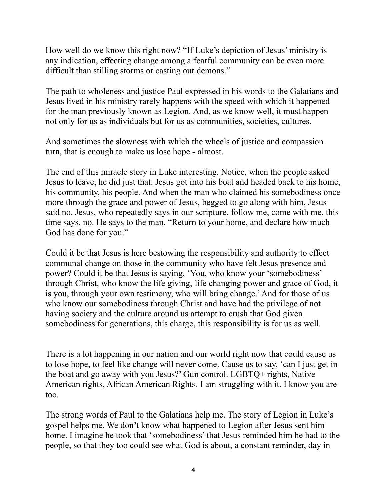How well do we know this right now? "If Luke's depiction of Jesus' ministry is any indication, effecting change among a fearful community can be even more difficult than stilling storms or casting out demons."

The path to wholeness and justice Paul expressed in his words to the Galatians and Jesus lived in his ministry rarely happens with the speed with which it happened for the man previously known as Legion. And, as we know well, it must happen not only for us as individuals but for us as communities, societies, cultures.

And sometimes the slowness with which the wheels of justice and compassion turn, that is enough to make us lose hope - almost.

The end of this miracle story in Luke interesting. Notice, when the people asked Jesus to leave, he did just that. Jesus got into his boat and headed back to his home, his community, his people. And when the man who claimed his somebodiness once more through the grace and power of Jesus, begged to go along with him, Jesus said no. Jesus, who repeatedly says in our scripture, follow me, come with me, this time says, no. He says to the man, "Return to your home, and declare how much God has done for you."

Could it be that Jesus is here bestowing the responsibility and authority to effect communal change on those in the community who have felt Jesus presence and power? Could it be that Jesus is saying, 'You, who know your 'somebodiness' through Christ, who know the life giving, life changing power and grace of God, it is you, through your own testimony, who will bring change.' And for those of us who know our somebodiness through Christ and have had the privilege of not having society and the culture around us attempt to crush that God given somebodiness for generations, this charge, this responsibility is for us as well.

There is a lot happening in our nation and our world right now that could cause us to lose hope, to feel like change will never come. Cause us to say, 'can I just get in the boat and go away with you Jesus?' Gun control. LGBTQ+ rights, Native American rights, African American Rights. I am struggling with it. I know you are too.

The strong words of Paul to the Galatians help me. The story of Legion in Luke's gospel helps me. We don't know what happened to Legion after Jesus sent him home. I imagine he took that 'somebodiness' that Jesus reminded him he had to the people, so that they too could see what God is about, a constant reminder, day in